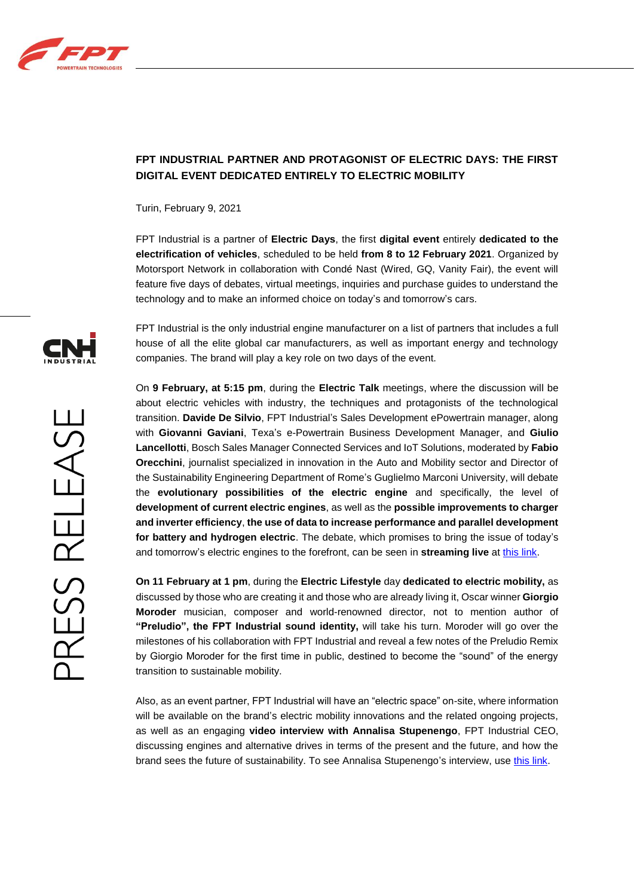

## **FPT INDUSTRIAL PARTNER AND PROTAGONIST OF ELECTRIC DAYS: THE FIRST DIGITAL EVENT DEDICATED ENTIRELY TO ELECTRIC MOBILITY**

Turin, February 9, 2021

FPT Industrial is a partner of **Electric Days**, the first **digital event** entirely **dedicated to the electrification of vehicles**, scheduled to be held **from 8 to 12 February 2021**. Organized by Motorsport Network in collaboration with Condé Nast (Wired, GQ, Vanity Fair), the event will feature five days of debates, virtual meetings, inquiries and purchase guides to understand the technology and to make an informed choice on today's and tomorrow's cars.

FPT Industrial is the only industrial engine manufacturer on a list of partners that includes a full house of all the elite global car manufacturers, as well as important energy and technology companies. The brand will play a key role on two days of the event.

On **9 February, at 5:15 pm**, during the **Electric Talk** meetings, where the discussion will be about electric vehicles with industry, the techniques and protagonists of the technological transition. **Davide De Silvio**, FPT Industrial's Sales Development ePowertrain manager, along with **Giovanni Gaviani**, Texa's e-Powertrain Business Development Manager, and **Giulio Lancellotti**, Bosch Sales Manager Connected Services and IoT Solutions, moderated by **Fabio Orecchini**, journalist specialized in innovation in the Auto and Mobility sector and Director of the Sustainability Engineering Department of Rome's Guglielmo Marconi University, will debate the **evolutionary possibilities of the electric engine** and specifically, the level of **development of current electric engines**, as well as the **possible improvements to charger and inverter efficiency**, **the use of data to increase performance and parallel development for battery and hydrogen electric**. The debate, which promises to bring the issue of today's and tomorrow's electric engines to the forefront, can be seen in **streaming live** at [this link.](https://www.electricdays.it/day-2-9-febbraio-electric-talk/)

**On 11 February at 1 pm**, during the **Electric Lifestyle** day **dedicated to electric mobility,** as discussed by those who are creating it and those who are already living it, Oscar winner **Giorgio Moroder** musician, composer and world-renowned director, not to mention author of **"Preludio", the FPT Industrial sound identity,** will take his turn. Moroder will go over the milestones of his collaboration with FPT Industrial and reveal a few notes of the Preludio Remix by Giorgio Moroder for the first time in public, destined to become the "sound" of the energy transition to sustainable mobility.

Also, as an event partner, FPT Industrial will have an "electric space" on-site, where information will be available on the brand's electric mobility innovations and the related ongoing projects, as well as an engaging **video interview with Annalisa Stupenengo**, FPT Industrial CEO, discussing engines and alternative drives in terms of the present and the future, and how the brand sees the future of sustainability. To see Annalisa Stupenengo's interview, use [this link.](https://www.electricdays.it/brand/fpt/)